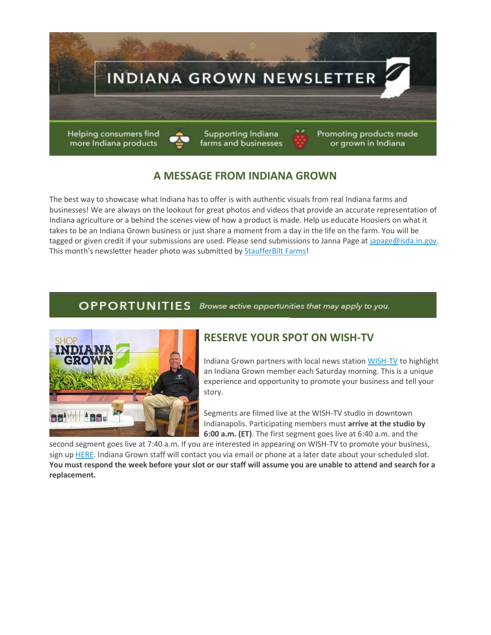

# **A MESSAGE FROM INDIANA GROWN**

The best way to showcase what Indiana has to offer is with authentic visuals from real Indiana farms and businesses! We are always on the lookout for great photos and videos that provide an accurate representation of Indiana agriculture or a behind the scenes view of how a product is made. Help us educate Hoosiers on what it takes to be an Indiana Grown business or just share a moment from a day in the life on the farm. You will be tagged or given credit if your submissions are used. Please send submissions to Janna Page a[t japage@isda.in.gov.](mailto:japage@isda.in.gov) This month's newsletter header photo was submitted by [StaufferBilt Farms!](https://lnks.gd/l/eyJhbGciOiJIUzI1NiJ9.eyJidWxsZXRpbl9saW5rX2lkIjoxMDAsInVyaSI6ImJwMjpjbGljayIsImJ1bGxldGluX2lkIjoiMjAyMjAyMDIuNTI3NzcwMzEiLCJ1cmwiOiJodHRwczovL3d3dy5mYWNlYm9vay5jb20vc3RhdWZmZXJidWlsdGZhcm1zIn0.DUsbTFS0ji3qGenw6Ir-b6sx1OhLq6b6AB0CuLaV1NE/s/670599506/br/126022656924-l)

## **OPPORTUNITIES** Browse active opportunities that may apply to you.



## **RESERVE YOUR SPOT ON WISH-TV**

Indiana Grown partners with local news statio[n WISH-TV](https://lnks.gd/l/eyJhbGciOiJIUzI1NiJ9.eyJidWxsZXRpbl9saW5rX2lkIjoxMDEsInVyaSI6ImJwMjpjbGljayIsImJ1bGxldGluX2lkIjoiMjAyMjAyMDIuNTI3NzcwMzEiLCJ1cmwiOiJodHRwczovL2xua3MuZ2QvbC9leUpoYkdjaU9pSklVekkxTmlKOS5leUppZFd4c1pYUnBibDlzYVc1clgybGtJam94TURRc0luVnlhU0k2SW1Kd01qcGpiR2xqYXlJc0ltSjFiR3hsZEdsdVgybGtJam9pTWpBeU1UQTRNRFl1TkRReU1qSTBOekVpTENKMWNtd2lPaUpvZEhSd2N6b3ZMM2QzZHk1M2FYTm9kSFl1WTI5dEx5SjkuRjBzbDJDVGRVcXBaZW1tcVNMVG1lcmJ2b0hlOEIzYy0zUUptMEh4dzdRQS9zLzE0NzYxODY0OTgvYnIvMTEwNTIwMzc5OTIwLWwifQ.wokYFc8LUzrSiFktCewp4N6VIWF_2MT1UF2GdTB8hm0/s/670599506/br/126022656924-l) to highlight an Indiana Grown member each Saturday morning. This is a unique experience and opportunity to promote your business and tell your story.

Segments are filmed live at the WISH-TV studio in downtown Indianapolis. Participating members must **arrive at the studio by 6:00 a.m. (ET)**. The first segment goes live at 6:40 a.m. and the

second segment goes live at 7:40 a.m. If you are interested in appearing on WISH-TV to promote your business, sign up [HERE.](https://lnks.gd/l/eyJhbGciOiJIUzI1NiJ9.eyJidWxsZXRpbl9saW5rX2lkIjoxMDIsInVyaSI6ImJwMjpjbGljayIsImJ1bGxldGluX2lkIjoiMjAyMjAyMDIuNTI3NzcwMzEiLCJ1cmwiOiJodHRwczovL3d3dy5zaWdudXBnZW5pdXMuY29tL2dvLzkwNDBlNGJhY2E3MjhhYWZkMC0yMDIyIn0.vtZzhg8GQM9TbIp84ak40APJCl1A6w5Q_NKf2z4vp3o/s/670599506/br/126022656924-l) Indiana Grown staff will contact you via email or phone at a later date about your scheduled slot. **You must respond the week before your slot or our staff will assume you are unable to attend and search for a replacement.**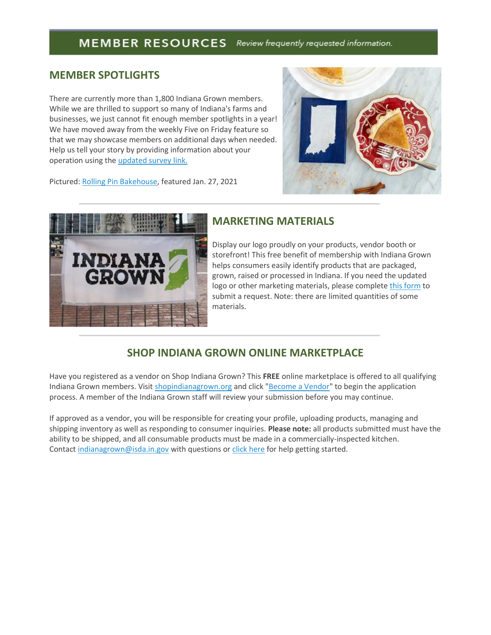## MEMBER RESOURCES Review frequently requested information.

#### **MEMBER SPOTLIGHTS**

There are currently more than 1,800 Indiana Grown members. While we are thrilled to support so many of Indiana's farms and businesses, we just cannot fit enough member spotlights in a year! We have moved away from the weekly Five on Friday feature so that we may showcase members on additional days when needed. Help us tell your story by providing information about your operation using th[e updated survey](https://lnks.gd/l/eyJhbGciOiJIUzI1NiJ9.eyJidWxsZXRpbl9saW5rX2lkIjoxMDMsInVyaSI6ImJwMjpjbGljayIsImJ1bGxldGluX2lkIjoiMjAyMjAyMDIuNTI3NzcwMzEiLCJ1cmwiOiJodHRwczovL2RvY3MuZ29vZ2xlLmNvbS9mb3Jtcy9kL2UvMUZBSXBRTFNmOS1QR3k5bGszUkdicG9QdGFnZG5ocG45dUtNYUdhUXBNT3Zjako3SGUtX2t6d1Evdmlld2Zvcm0_dXNwPXNmX2xpbmsifQ.Kb3w_QnnFs9Jkeb4N7d9tUA7JbQkhgHPR4_TLLzqR9Q/s/670599506/br/126022656924-l) link.



Pictured[: Rolling Pin Bakehouse,](https://lnks.gd/l/eyJhbGciOiJIUzI1NiJ9.eyJidWxsZXRpbl9saW5rX2lkIjoxMDQsInVyaSI6ImJwMjpjbGljayIsImJ1bGxldGluX2lkIjoiMjAyMjAyMDIuNTI3NzcwMzEiLCJ1cmwiOiJodHRwczovL3JvbGxpbmdwaW5iYWtlaG91c2UuY29tLyJ9.M7UFGJm1TMT7mODVwcZTq_jx4hOF_lOImoeWEvgTLBQ/s/670599506/br/126022656924-l) featured Jan. 27, 2021



#### **MARKETING MATERIALS**

Display our logo proudly on your products, vendor booth or storefront! This free benefit of membership with Indiana Grown helps consumers easily identify products that are packaged, grown, raised or processed in Indiana. If you need the updated logo or other marketing materials, please complete [this form](https://lnks.gd/l/eyJhbGciOiJIUzI1NiJ9.eyJidWxsZXRpbl9saW5rX2lkIjoxMDUsInVyaSI6ImJwMjpjbGljayIsImJ1bGxldGluX2lkIjoiMjAyMjAyMDIuNTI3NzcwMzEiLCJ1cmwiOiJodHRwczovL2RvY3MuZ29vZ2xlLmNvbS9mb3Jtcy9kL2UvMUZBSXBRTFNmN01BNjdVLWlWY3p4ZkxDMnhZbUhOVHk1RzljT3FYZnZMSE1SZ081SUJkd0EyS1Evdmlld2Zvcm0ifQ.5OnDZ_3uo6D4V_Pztuy-fwygLzuRfUElWcR8eaJdiLI/s/670599506/br/126022656924-l) to submit a request. Note: there are limited quantities of some materials.

## **SHOP INDIANA GROWN ONLINE MARKETPLACE**

Have you registered as a vendor on Shop Indiana Grown? This **FREE** online marketplace is offered to all qualifying Indiana Grown members. Visit [shopindianagrown.org](https://lnks.gd/l/eyJhbGciOiJIUzI1NiJ9.eyJidWxsZXRpbl9saW5rX2lkIjoxMDYsInVyaSI6ImJwMjpjbGljayIsImJ1bGxldGluX2lkIjoiMjAyMjAyMDIuNTI3NzcwMzEiLCJ1cmwiOiJodHRwczovL3Byb3RlY3QyLmZpcmVleWUuY29tL3YxL3VybD9rPTExZTk0NmFlLTRlNzI3ZmU1LTExZWQwZmFlLTg2N2M2YjA3MWM2Zi00MmFlOGU2ZmIyODYzNTkyJnE9MSZlPTM4Y2VmOGYyLWYyZGYtNGM2Ni04YzU2LWE2YmQ3ODQwMDdhYyZ1PWh0dHAlM0ElMkYlMkZ3d3cuc2hvcGluZGlhbmFncm93bi5vcmclMkYifQ.pXZaF2mKnXsJtiG8MnalhyYosVoweXu19dSSu5pJmJw/s/670599506/br/126022656924-l) and click ["Become a Vendor"](https://lnks.gd/l/eyJhbGciOiJIUzI1NiJ9.eyJidWxsZXRpbl9saW5rX2lkIjoxMDcsInVyaSI6ImJwMjpjbGljayIsImJ1bGxldGluX2lkIjoiMjAyMjAyMDIuNTI3NzcwMzEiLCJ1cmwiOiJodHRwczovL3Nob3BpbmRpYW5hZ3Jvd24ub3JnL2JlY29tZS1hLXZlbmRvci8ifQ.sOd16P03EVueNqdVsUjQZfWZ4S8KczP_oDHtNlTYB8s/s/670599506/br/126022656924-l) to begin the application process. A member of the Indiana Grown staff will review your submission before you may continue.

If approved as a vendor, you will be responsible for creating your profile, uploading products, managing and shipping inventory as well as responding to consumer inquiries. **Please note:** all products submitted must have the ability to be shipped, and all consumable products must be made in a commercially-inspected kitchen. Contact [indianagrown@isda.in.gov](mailto:indianagrown@isda.in.gov) with questions o[r click here](https://lnks.gd/l/eyJhbGciOiJIUzI1NiJ9.eyJidWxsZXRpbl9saW5rX2lkIjoxMDgsInVyaSI6ImJwMjpjbGljayIsImJ1bGxldGluX2lkIjoiMjAyMjAyMDIuNTI3NzcwMzEiLCJ1cmwiOiJodHRwczovL3Nob3BpbmRpYW5hZ3Jvd24ub3JnL2hlbHAtZGVzay8ifQ.2V6KK4r_bWaUiDadeH0v2DKektfeiKgTkNm9Tc-LyZ8/s/670599506/br/126022656924-l) for help getting started.